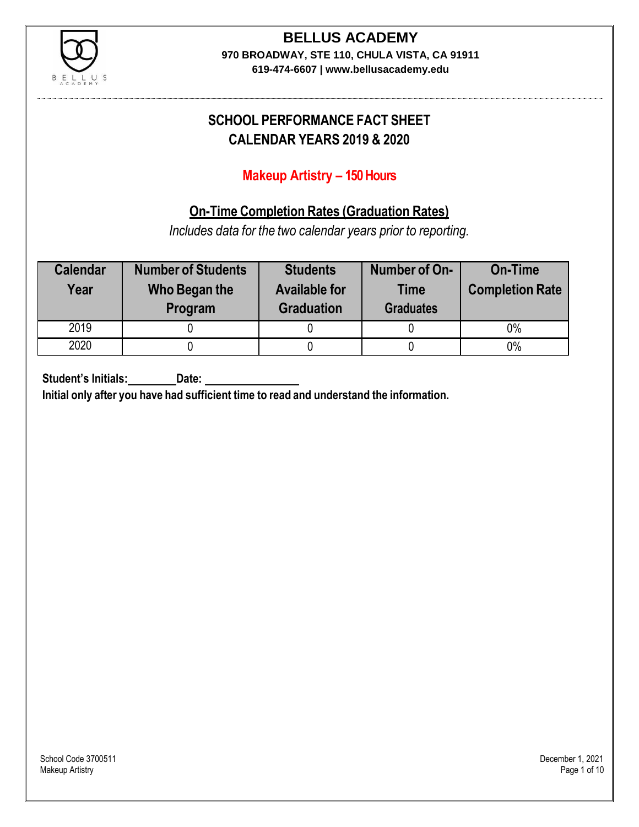

# **BELLUS ACADEMY**

**970 BROADWAY, STE 110, CHULA VISTA, CA 91911 619-474-6607 | www.bellusacademy.edu**

## **SCHOOL PERFORMANCE FACT SHEET CALENDAR YEARS 2019 & 2020**

### **Makeup Artistry – 150 Hours**

### **On-Time Completion Rates (Graduation Rates)**

*Includes data for the two calendar years prior to reporting.*

| <b>Calendar</b><br>Year | <b>Number of Students</b><br>Who Began the<br>Program | <b>Students</b><br><b>Available for</b><br><b>Graduation</b> | Number of On-<br><b>Time</b><br><b>Graduates</b> | <b>On-Time</b><br><b>Completion Rate</b> |
|-------------------------|-------------------------------------------------------|--------------------------------------------------------------|--------------------------------------------------|------------------------------------------|
| 2019                    |                                                       |                                                              |                                                  | 0%                                       |
| 2020                    |                                                       |                                                              |                                                  | $0\%$                                    |

**Student's Initials: Date:**

**Initial only after you have had sufficient time to read and understand the information.**

School Code 3700511 December 1, 2021<br>Makeup Artistry Page 1 of 10 Makeup Artistry Page 1 of 10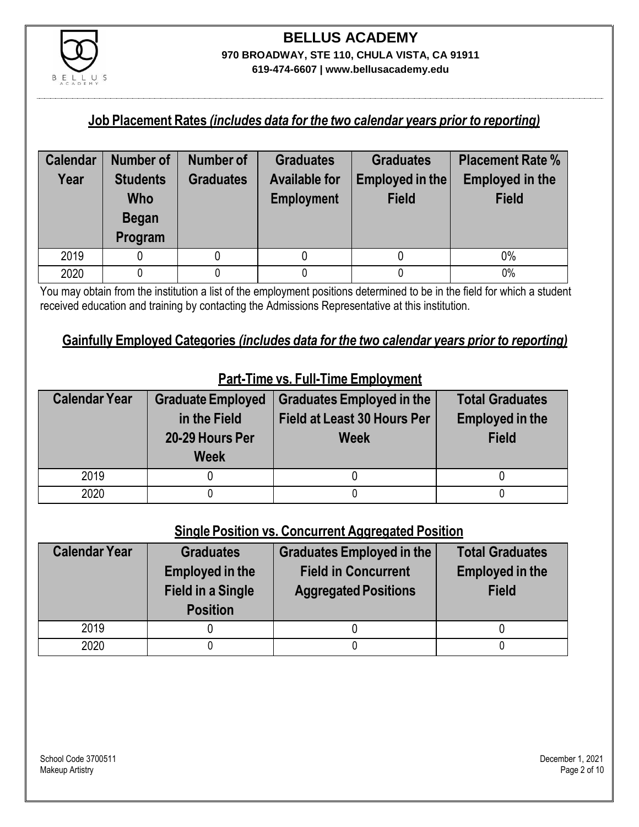

#### **Job Placement Rates** *(includes data for the two calendar years prior to reporting)*

| <b>Calendar</b> | <b>Number of</b>                                  | <b>Number of</b> | <b>Graduates</b>                          | <b>Graduates</b>                | <b>Placement Rate %</b>                |
|-----------------|---------------------------------------------------|------------------|-------------------------------------------|---------------------------------|----------------------------------------|
| Year            | <b>Students</b><br>Who<br><b>Began</b><br>Program | <b>Graduates</b> | <b>Available for</b><br><b>Employment</b> | Employed in the<br><b>Field</b> | <b>Employed in the</b><br><b>Field</b> |
| 2019            |                                                   |                  |                                           |                                 | $0\%$                                  |
| 2020            |                                                   |                  |                                           |                                 | 0%                                     |

You may obtain from the institution a list of the employment positions determined to be in the field for which a student received education and training by contacting the Admissions Representative at this institution.

#### **Gainfully Employed Categories** *(includes data for the two calendar years prior to reporting)*

| <b>Calendar Year</b> | <b>Graduate Employed</b><br>in the Field<br>20-29 Hours Per<br><b>Week</b> | <b>Graduates Employed in the</b><br>Field at Least 30 Hours Per<br><b>Week</b> | <b>Total Graduates</b><br><b>Employed in the</b><br><b>Field</b> |
|----------------------|----------------------------------------------------------------------------|--------------------------------------------------------------------------------|------------------------------------------------------------------|
| 2019                 |                                                                            |                                                                                |                                                                  |
| 2020                 |                                                                            |                                                                                |                                                                  |

### **Part-Time vs. Full-Time Employment**

#### **Single Position vs. Concurrent Aggregated Position**

| <b>Calendar Year</b> | <b>Graduates</b><br><b>Employed in the</b><br><b>Field in a Single</b><br><b>Position</b> | <b>Graduates Employed in the</b><br><b>Field in Concurrent</b><br><b>Aggregated Positions</b> | <b>Total Graduates</b><br><b>Employed in the</b><br><b>Field</b> |
|----------------------|-------------------------------------------------------------------------------------------|-----------------------------------------------------------------------------------------------|------------------------------------------------------------------|
| 2019                 |                                                                                           |                                                                                               |                                                                  |
| 2020                 |                                                                                           |                                                                                               |                                                                  |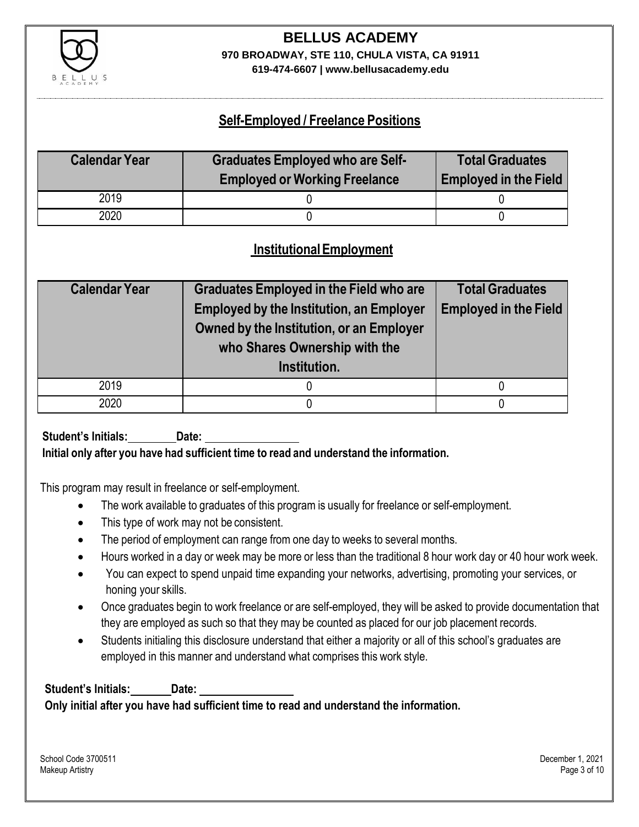

# **BELLUS ACADEMY 970 BROADWAY, STE 110, CHULA VISTA, CA 91911**

**619-474-6607 | www.bellusacademy.edu**

### **Self-Employed / Freelance Positions**

| <b>Calendar Year</b> | <b>Graduates Employed who are Self-</b> | <b>Total Graduates</b>       |
|----------------------|-----------------------------------------|------------------------------|
|                      | <b>Employed or Working Freelance</b>    | <b>Employed in the Field</b> |
| 2019                 |                                         |                              |
| 2020                 |                                         |                              |

### **InstitutionalEmployment**

| <b>Calendar Year</b> | <b>Graduates Employed in the Field who are</b><br><b>Employed by the Institution, an Employer</b><br>Owned by the Institution, or an Employer<br>who Shares Ownership with the<br>Institution. | <b>Total Graduates</b><br><b>Employed in the Field</b> |
|----------------------|------------------------------------------------------------------------------------------------------------------------------------------------------------------------------------------------|--------------------------------------------------------|
| 2019                 |                                                                                                                                                                                                |                                                        |
| 2020                 |                                                                                                                                                                                                |                                                        |

**Student's Initials: Date:**

**Initial only after you have had sufficient time to read and understand the information.**

This program may result in freelance or self-employment.

- The work available to graduates of this program is usually for freelance or self-employment.
- This type of work may not be consistent.
- The period of employment can range from one day to weeks to several months.
- Hours worked in a day or week may be more or less than the traditional 8 hour work day or 40 hour work week.
- You can expect to spend unpaid time expanding your networks, advertising, promoting your services, or honing your skills.
- Once graduates begin to work freelance or are self-employed, they will be asked to provide documentation that they are employed as such so that they may be counted as placed for our job placement records.
- Students initialing this disclosure understand that either a majority or all of this school's graduates are employed in this manner and understand what comprises this work style.

**Student's Initials: Date: Only initial after you have had sufficient time to read and understand the information.**

School Code 3700511 December 1, 2021 Makeup Artistry Page 3 of 10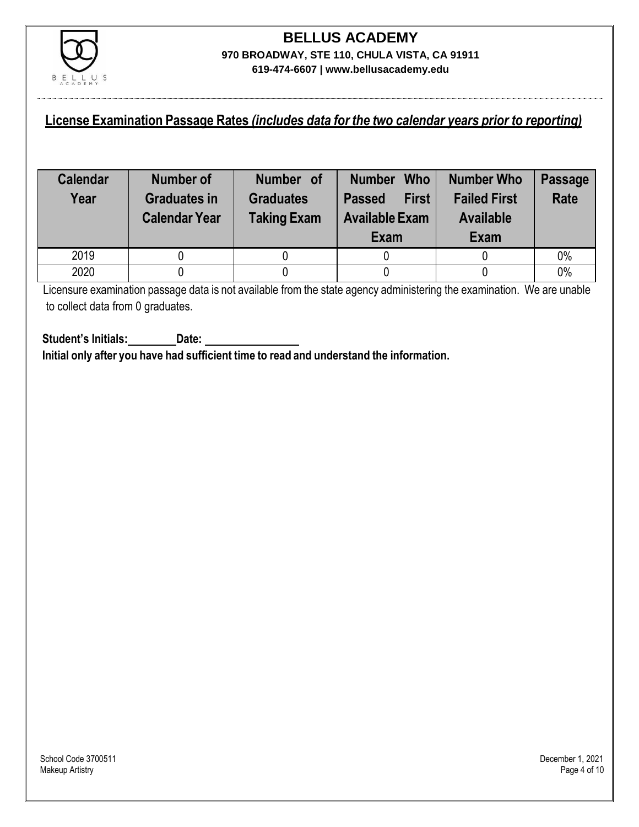

#### **License Examination Passage Rates** *(includes data for the two calendar years prior to reporting)*

| <b>Calendar</b><br>Year | <b>Number of</b><br><b>Graduates in</b><br><b>Calendar Year</b> | Number of<br><b>Graduates</b><br><b>Taking Exam</b> | <b>Who</b><br><b>Number</b><br><b>First</b><br><b>Passed</b><br><b>Available Exam</b><br>Exam | <b>Number Who</b><br><b>Failed First</b><br><b>Available</b><br><b>Exam</b> | <b>Passage</b><br><b>Rate</b> |
|-------------------------|-----------------------------------------------------------------|-----------------------------------------------------|-----------------------------------------------------------------------------------------------|-----------------------------------------------------------------------------|-------------------------------|
| 2019                    |                                                                 |                                                     |                                                                                               |                                                                             | 0%                            |
| 2020                    |                                                                 |                                                     |                                                                                               |                                                                             | 0%                            |

Licensure examination passage data is not available from the state agency administering the examination. We are unable to collect data from 0 graduates.

**Student's Initials: Date: Initial only after you have had sufficient time to read and understand the information.**

School Code 3700511 December 1, 2021<br>Makeup Artistry Page 4 of 10 Makeup Artistry Page 4 of 10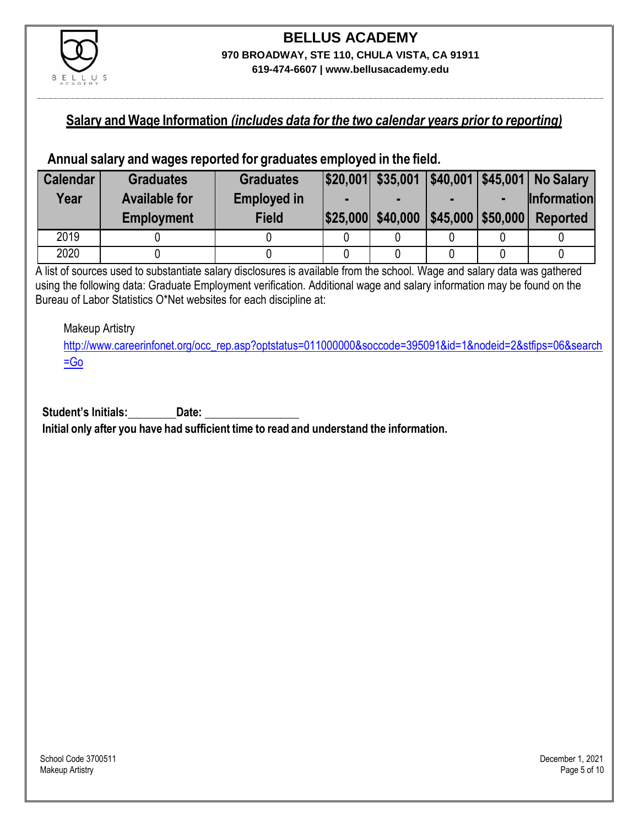

#### **Salary and Wage Information** *(includes data for the two calendar years prior to reporting)*

#### **Annual salary and wages reported for graduates employed in the field.**

| <b>Calendar</b> | <b>Graduates</b>     | <b>Graduates</b>   |                   |                   | $ $20,001 $ \$35,001 $ $40,001 $45,001 $ No Salary |
|-----------------|----------------------|--------------------|-------------------|-------------------|----------------------------------------------------|
| Year            | <b>Available for</b> | <b>Employed in</b> |                   |                   | <b>Information</b>                                 |
|                 | <b>Employment</b>    | <b>Field</b>       | \$25,000 \$40,000 | \$45,000 \$50,000 | <b>Reported</b>                                    |
| 2019            |                      |                    |                   |                   |                                                    |
| 2020            |                      |                    |                   |                   |                                                    |

A list of sources used to substantiate salary disclosures is available from the school. Wage and salary data was gathered using the following data: Graduate Employment verification. Additional wage and salary information may be found on the Bureau of Labor Statistics O\*Net websites for each discipline at:

Makeup Artistry

[http://www.careerinfonet.org/occ\\_rep.asp?optstatus=011000000&soccode=395091&id=1&nodeid=2&stfips=06&search](http://www.careerinfonet.org/occ_rep.asp?optstatus=011000000&soccode=395091&id=1&nodeid=2&stfips=06&search=Go)  $=$ Go

**Student's Initials: Date:**

**Initial only after you have had sufficient time to read and understand the information.**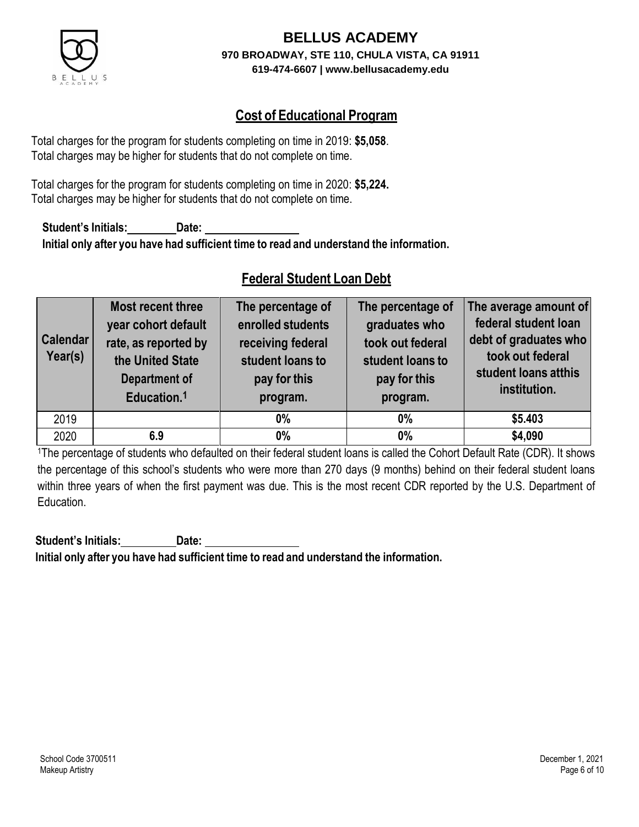

### **Cost of Educational Program**

Total charges for the program for students completing on time in 2019: **\$5,058**. Total charges may be higher for students that do not complete on time.

Total charges for the program for students completing on time in 2020: **\$5,224.** Total charges may be higher for students that do not complete on time.

**Student's Initials: Date: Initial only after you have had sufficient time to read and understand the information.**

### **Federal Student Loan Debt**

| <b>Calendar</b><br>Year(s) | Most recent three<br>year cohort default<br>rate, as reported by<br>the United State<br><b>Department of</b><br>Education. <sup>1</sup> | The percentage of<br>enrolled students<br>receiving federal<br>student loans to<br>pay for this<br>program. | The percentage of<br>graduates who<br>took out federal<br>student loans to<br>pay for this<br>program. | The average amount of<br>federal student loan<br>debt of graduates who<br>took out federal<br>student loans atthis<br>institution. |
|----------------------------|-----------------------------------------------------------------------------------------------------------------------------------------|-------------------------------------------------------------------------------------------------------------|--------------------------------------------------------------------------------------------------------|------------------------------------------------------------------------------------------------------------------------------------|
| 2019                       |                                                                                                                                         | $0\%$                                                                                                       | $0\%$                                                                                                  | \$5.403                                                                                                                            |
| 2020                       | 6.9                                                                                                                                     | $0\%$                                                                                                       | $0\%$                                                                                                  | \$4,090                                                                                                                            |

<sup>1</sup>The percentage of students who defaulted on their federal student loans is called the Cohort Default Rate (CDR). It shows the percentage of this school's students who were more than 270 days (9 months) behind on their federal student loans within three years of when the first payment was due. This is the most recent CDR reported by the U.S. Department of Education.

**Student's Initials: Date: Initial only after you have had sufficient time to read and understand the information.**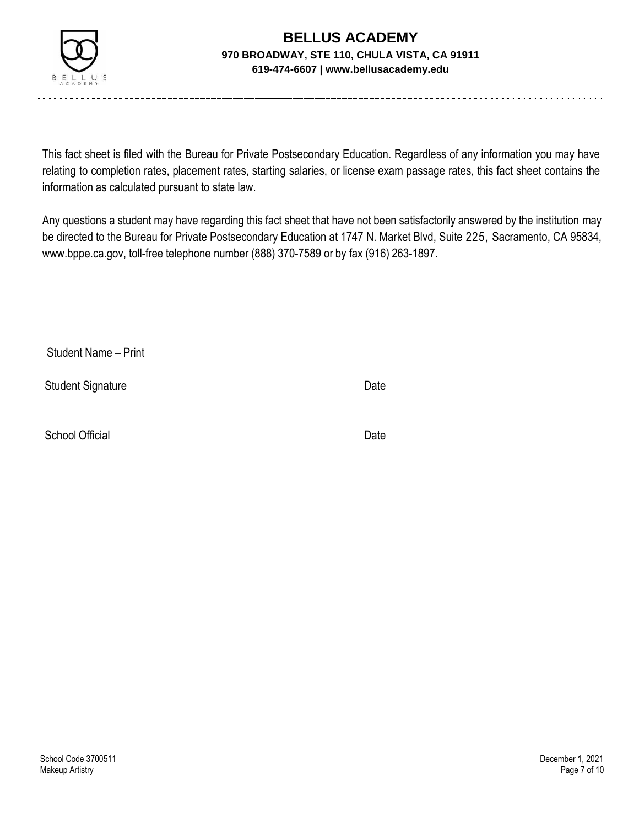

This fact sheet is filed with the Bureau for Private Postsecondary Education. Regardless of any information you may have relating to completion rates, placement rates, starting salaries, or license exam passage rates, this fact sheet contains the information as calculated pursuant to state law.

Any questions a student may have regarding this fact sheet that have not been satisfactorily answered by the institution may be directed to the Bureau for Private Postsecondary Education at 1747 N. Market Blvd, Suite 225, Sacramento, CA 95834, [www.bppe.ca.gov,](http://www.bppe.ca.gov/) toll-free telephone number (888) 370-7589 or by fax (916) 263-1897.

Student Name – Print

Student Signature Date Date

School Official Date Date Date Date Date Date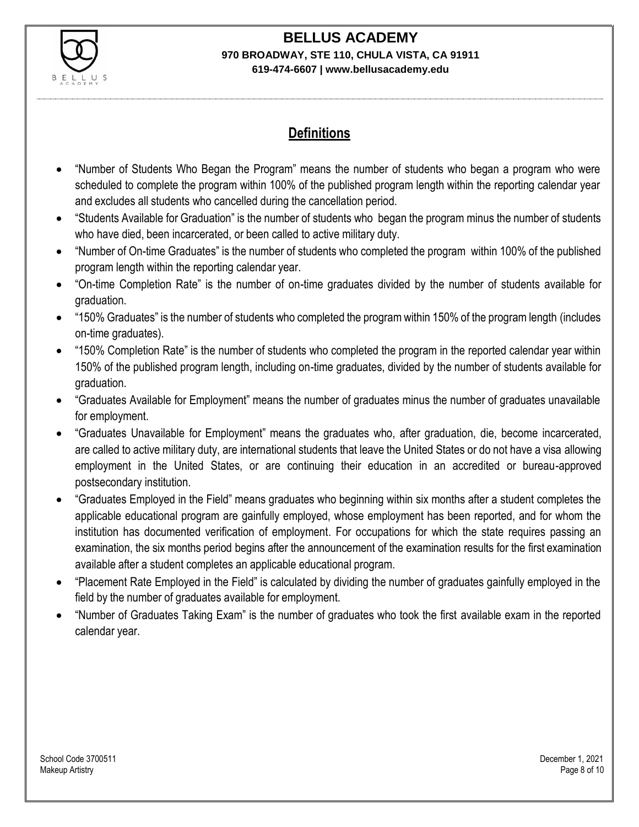

#### **BELLUS ACADEMY 970 BROADWAY, STE 110, CHULA VISTA, CA 91911**

#### **619-474-6607 | www.bellusacademy.edu**

### **Definitions**

- "Number of Students Who Began the Program" means the number of students who began a program who were scheduled to complete the program within 100% of the published program length within the reporting calendar year and excludes all students who cancelled during the cancellation period.
- "Students Available for Graduation" is the number of students who began the program minus the number of students who have died, been incarcerated, or been called to active military duty.
- "Number of On-time Graduates" is the number of students who completed the program within 100% of the published program length within the reporting calendar year.
- "On-time Completion Rate" is the number of on-time graduates divided by the number of students available for graduation.
- "150% Graduates" is the number of students who completed the program within 150% of the program length (includes on-time graduates).
- "150% Completion Rate" is the number of students who completed the program in the reported calendar year within 150% of the published program length, including on-time graduates, divided by the number of students available for graduation.
- "Graduates Available for Employment" means the number of graduates minus the number of graduates unavailable for employment.
- "Graduates Unavailable for Employment" means the graduates who, after graduation, die, become incarcerated, are called to active military duty, are international students that leave the United States or do not have a visa allowing employment in the United States, or are continuing their education in an accredited or bureau-approved postsecondary institution.
- "Graduates Employed in the Field" means graduates who beginning within six months after a student completes the applicable educational program are gainfully employed, whose employment has been reported, and for whom the institution has documented verification of employment. For occupations for which the state requires passing an examination, the six months period begins after the announcement of the examination results for the first examination available after a student completes an applicable educational program.
- "Placement Rate Employed in the Field" is calculated by dividing the number of graduates gainfully employed in the field by the number of graduates available for employment.
- "Number of Graduates Taking Exam" is the number of graduates who took the first available exam in the reported calendar year.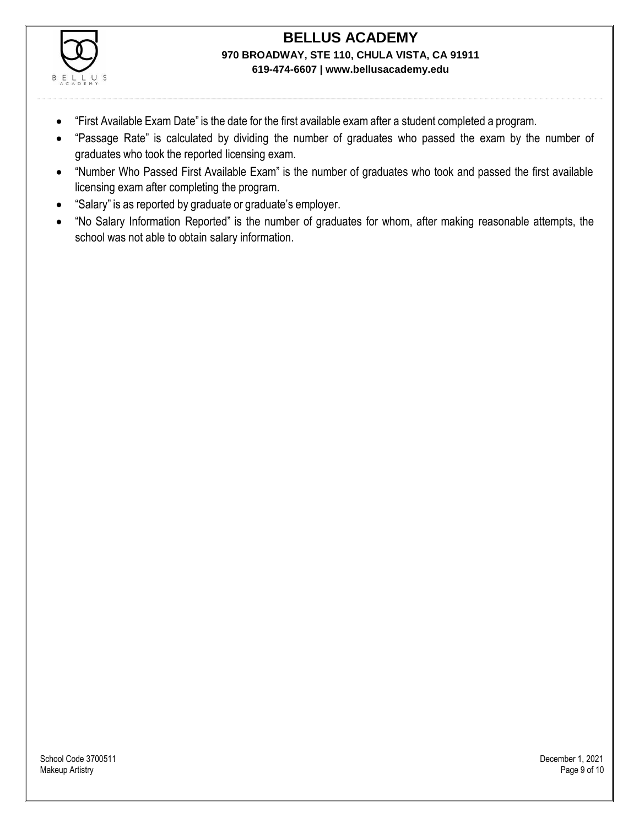

- "First Available Exam Date" is the date for the first available exam after a student completed a program.
- "Passage Rate" is calculated by dividing the number of graduates who passed the exam by the number of graduates who took the reported licensing exam.
- "Number Who Passed First Available Exam" is the number of graduates who took and passed the first available licensing exam after completing the program.
- "Salary" is as reported by graduate or graduate's employer.
- "No Salary Information Reported" is the number of graduates for whom, after making reasonable attempts, the school was not able to obtain salary information.